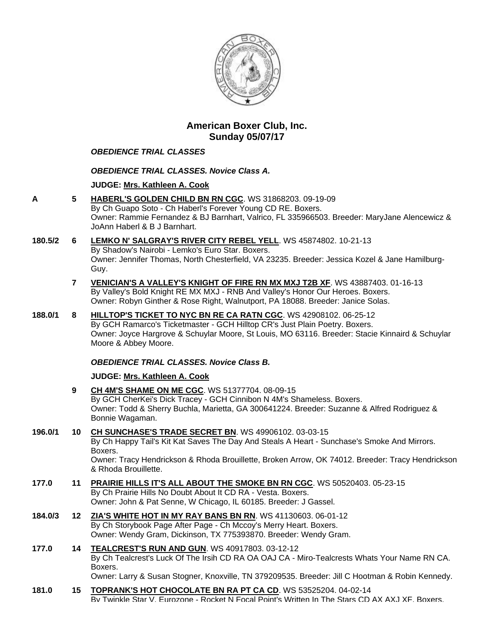

# **American Boxer Club, Inc. Sunday 05/07/17**

## *OBEDIENCE TRIAL CLASSES*

# *OBEDIENCE TRIAL CLASSES. Novice Class A.*

# **JUDGE: [Mrs. Kathleen A. Cook](http://infodog.com/show/judge/jdgprofile.htm?jn=37193)**

**A 5 [HABERL'S GOLDEN CHILD BN RN CGC](http://infodog.com/my/drlookup2.htm?makc=WS%2031868203&mdog=Haberl%27s+Golden+Child+BN+RN+CGC&wins=all)**. WS 31868203. 09-19-09 By Ch Guapo Soto - Ch Haberl's Forever Young CD RE. Boxers. Owner: Rammie Fernandez & BJ Barnhart, Valrico, FL 335966503. Breeder: MaryJane Alencewicz & JoAnn Haberl & B J Barnhart.

#### **180.5/2 6 [LEMKO N' SALGRAY'S RIVER CITY REBEL YELL](http://infodog.com/my/drlookup2.htm?makc=WS%2045874802&mdog=Lemko+N%27+Salgray%27s+River+City+Rebel+Yell&wins=all)**. WS 45874802. 10-21-13 By Shadow's Nairobi - Lemko's Euro Star. Boxers. Owner: Jennifer Thomas, North Chesterfield, VA 23235. Breeder: Jessica Kozel & Jane Hamilburg-Guy.

**7 [VENICIAN'S A VALLEY'S KNIGHT OF FIRE RN MX MXJ T2B XF](http://infodog.com/my/drlookup2.htm?makc=WS%2043887403&mdog=Venician%27s+A+Valley%27s+Knight+Of+Fire+RN+MX+MXJ+T2B+XF&wins=all)**. WS 43887403. 01-16-13 By Valley's Bold Knight RE MX MXJ - RNB And Valley's Honor Our Heroes. Boxers. Owner: Robyn Ginther & Rose Right, Walnutport, PA 18088. Breeder: Janice Solas.

# **188.0/1 8 [HILLTOP'S TICKET TO NYC BN RE CA RATN CGC](http://infodog.com/my/drlookup2.htm?makc=WS%2042908102&mdog=Hilltop%27s+Ticket+To+NYC+BN+RE+CA+RATN+CGC&wins=all)**. WS 42908102. 06-25-12

By GCH Ramarco's Ticketmaster - GCH Hilltop CR's Just Plain Poetry. Boxers. Owner: Joyce Hargrove & Schuylar Moore, St Louis, MO 63116. Breeder: Stacie Kinnaird & Schuylar Moore & Abbey Moore.

## *OBEDIENCE TRIAL CLASSES. Novice Class B.*

## **JUDGE: [Mrs. Kathleen A. Cook](http://infodog.com/show/judge/jdgprofile.htm?jn=37193)**

- **9 [CH 4M'S SHAME ON ME CGC](http://infodog.com/my/drlookup2.htm?makc=WS%2051377704&mdog=Ch+4M%27s+Shame+On+Me+CGC&wins=all)**. WS 51377704. 08-09-15 By GCH CherKei's Dick Tracey - GCH Cinnibon N 4M's Shameless. Boxers. Owner: Todd & Sherry Buchla, Marietta, GA 300641224. Breeder: Suzanne & Alfred Rodriguez & Bonnie Wagaman.
- **196.0/1 10 [CH SUNCHASE'S TRADE SECRET BN](http://infodog.com/my/drlookup2.htm?makc=WS%2049906102&mdog=Ch+Sunchase%27s+Trade+Secret+BN&wins=all)**. WS 49906102. 03-03-15 By Ch Happy Tail's Kit Kat Saves The Day And Steals A Heart - Sunchase's Smoke And Mirrors. Boxers. Owner: Tracy Hendrickson & Rhoda Brouillette, Broken Arrow, OK 74012. Breeder: Tracy Hendrickson & Rhoda Brouillette.
- **177.0 11 [PRAIRIE HILLS IT'S ALL ABOUT THE SMOKE BN RN CGC](http://infodog.com/my/drlookup2.htm?makc=WS%2050520403&mdog=Prairie+Hills+It%27s+All+About+The+Smoke+BN+RN+CGC&wins=all)**. WS 50520403. 05-23-15 By Ch Prairie Hills No Doubt About It CD RA - Vesta. Boxers. Owner: John & Pat Senne, W Chicago, IL 60185. Breeder: J Gassel.
- **184.0/3 12 [ZIA'S WHITE HOT IN MY RAY BANS BN RN](http://infodog.com/my/drlookup2.htm?makc=WS%2041130603&mdog=Zia%27s+White+Hot+In+My+Ray+Bans+BN+RN&wins=all)**. WS 41130603. 06-01-12 By Ch Storybook Page After Page - Ch Mccoy's Merry Heart. Boxers. Owner: Wendy Gram, Dickinson, TX 775393870. Breeder: Wendy Gram.
- **177.0 14 [TEALCREST'S RUN AND GUN](http://infodog.com/my/drlookup2.htm?makc=WS%2040917803&mdog=Tealcrest%27s+Run+And+Gun&wins=all)**. WS 40917803. 03-12-12 By Ch Tealcrest's Luck Of The Irsih CD RA OA OAJ CA - Miro-Tealcrests Whats Your Name RN CA. Boxers. Owner: Larry & Susan Stogner, Knoxville, TN 379209535. Breeder: Jill C Hootman & Robin Kennedy.
- **181.0 15 [TOPRANK'S HOT CHOCOLATE BN RA PT CA CD](http://infodog.com/my/drlookup2.htm?makc=WS%2053525204&mdog=Toprank%27s+Hot+Chocolate+BN+RA+PT+CA+CD&wins=all)**. WS 53525204. 04-02-14 By Twinkle Star V. Eurozone - Rocket N Focal Point's Written In The Stars CD AX AXJ XF. Boxers.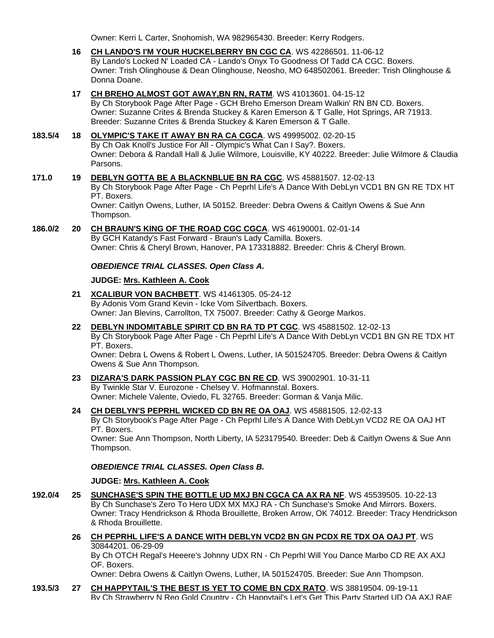Owner: Kerri L Carter, Snohomish, WA 982965430. Breeder: Kerry Rodgers.

- **16 CH LANDO'S [I'M YOUR HUCKELBERRY BN CGC CA](http://infodog.com/my/drlookup2.htm?makc=WS%2042286501&mdog=Ch+Lando%27s+I%27m+Your+Huckelberry+BN+CGC+CA&wins=all)**. WS 42286501. 11-06-12 By Lando's Locked N' Loaded CA - Lando's Onyx To Goodness Of Tadd CA CGC. Boxers. Owner: Trish Olinghouse & Dean Olinghouse, Neosho, MO 648502061. Breeder: Trish Olinghouse & Donna Doane.
- **17 [CH BREHO ALMOST GOT AWAY,BN RN, RATM](http://infodog.com/my/drlookup2.htm?makc=WS%2041013601&mdog=Ch+Breho+Almost+Got+Away,BN+RN,+RatM&wins=all)**. WS 41013601. 04-15-12 By Ch Storybook Page After Page - GCH Breho Emerson Dream Walkin' RN BN CD. Boxers. Owner: Suzanne Crites & Brenda Stuckey & Karen Emerson & T Galle, Hot Springs, AR 71913. Breeder: Suzanne Crites & Brenda Stuckey & Karen Emerson & T Galle.

# **183.5/4 18 [OLYMPIC'S TAKE IT AWAY BN RA CA CGCA](http://infodog.com/my/drlookup2.htm?makc=WS%2049995002&mdog=Olympic%27s+Take+It+Away+BN+RA+CA+CGCA&wins=all)**. WS 49995002. 02-20-15

By Ch Oak Knoll's Justice For All - Olympic's What Can I Say?. Boxers. Owner: Debora & Randall Hall & Julie Wilmore, Louisville, KY 40222. Breeder: Julie Wilmore & Claudia Parsons.

### **171.0 19 [DEBLYN GOTTA BE A BLACKNBLUE BN RA CGC](http://infodog.com/my/drlookup2.htm?makc=WS%2045881507&mdog=DebLyn+Gotta+Be+A+BlackNBlue+BN+RA+CGC&wins=all)**. WS 45881507. 12-02-13

By Ch Storybook Page After Page - Ch Peprhl Life's A Dance With DebLyn VCD1 BN GN RE TDX HT PT. Boxers.

Owner: Caitlyn Owens, Luther, IA 50152. Breeder: Debra Owens & Caitlyn Owens & Sue Ann Thompson.

#### **186.0/2 20 [CH BRAUN'S KING OF THE ROAD CGC CGCA](http://infodog.com/my/drlookup2.htm?makc=WS%2046190001&mdog=Ch+Braun%27s+King+Of+The+Road+CGC+CGCA&wins=all)**. WS 46190001. 02-01-14 By GCH Katandy's Fast Forward - Braun's Lady Camilla. Boxers. Owner: Chris & Cheryl Brown, Hanover, PA 173318882. Breeder: Chris & Cheryl Brown.

## *OBEDIENCE TRIAL CLASSES. Open Class A.*

## **JUDGE: [Mrs. Kathleen A.](http://infodog.com/show/judge/jdgprofile.htm?jn=37193) Cook**

- **21 [XCALIBUR VON BACHBETT](http://infodog.com/my/drlookup2.htm?makc=WS%2041461305&mdog=Xcalibur+Von+Bachbett&wins=all)**. WS 41461305. 05-24-12 By Adonis Vom Grand Kevin - Icke Vom Silvertbach. Boxers. Owner: Jan Blevins, Carrollton, TX 75007. Breeder: Cathy & George Markos.
- **22 [DEBLYN INDOMITABLE SPIRIT CD BN RA TD PT CGC](http://infodog.com/my/drlookup2.htm?makc=WS%2045881502&mdog=DebLyn+Indomitable+Spirit+CD+BN+RA+TD+PT+CGC&wins=all)**. WS 45881502. 12-02-13 By Ch Storybook Page After Page - Ch Peprhl Life's A Dance With DebLyn VCD1 BN GN RE TDX HT PT. Boxers.

Owner: Debra L Owens & Robert L Owens, Luther, IA 501524705. Breeder: Debra Owens & Caitlyn Owens & Sue Ann Thompson.

- **23 [DIZARA'S DARK PASSION PLAY CGC BN RE CD](http://infodog.com/my/drlookup2.htm?makc=WS%2039002901&mdog=Dizara%27s+Dark+Passion+Play+CGC+BN+RE+CD&wins=all)**. WS 39002901. 10-31-11 By Twinkle Star V. Eurozone - Chelsey V. Hofmannstal. Boxers. Owner: Michele Valente, Oviedo, FL 32765. Breeder: Gorman & Vanja Milic.
- **24 [CH DEBLYN'S PEPRHL WICKED CD BN RE OA OAJ](http://infodog.com/my/drlookup2.htm?makc=WS%2045881505&mdog=Ch+DebLyn%27s+Peprhl+Wicked+CD+BN+RE+OA+OAJ&wins=all)**. WS 45881505. 12-02-13 By Ch Storybook's Page After Page - Ch Peprhl Life's A Dance With DebLyn VCD2 RE OA OAJ HT PT. Boxers. Owner: Sue Ann Thompson, North Liberty, IA 523179540. Breeder: Deb & Caitlyn Owens & Sue Ann

Thompson.

## *OBEDIENCE TRIAL CLASSES. Open Class B.*

## **JUDGE: [Mrs. Kathleen A. Cook](http://infodog.com/show/judge/jdgprofile.htm?jn=37193)**

- **192.0/4 25 [SUNCHASE'S SPIN THE BOTTLE UD MXJ BN CGCA CA AX RA NF](http://infodog.com/my/drlookup2.htm?makc=WS%2045539505&mdog=Sunchase%27s+Spin+The+Bottle+UD+MXJ+BN+CGCA+CA+AX+RA+NF&wins=all)**. WS 45539505. 10-22-13 By Ch Sunchase's Zero To Hero UDX MX MXJ RA - Ch Sunchase's Smoke And Mirrors. Boxers. Owner: Tracy Hendrickson & Rhoda Brouillette, Broken Arrow, OK 74012. Breeder: Tracy Hendrickson & Rhoda Brouillette.
	- **26 [CH PEPRHL LIFE'S A DANCE WITH DEBLYN VCD2 BN GN PCDX RE TDX OA OAJ PT](http://infodog.com/my/drlookup2.htm?makc=WS%2030844201&mdog=Ch+Peprhl+Life%27s+A+Dance+With+DebLyn+VCD2+BN+GN+PCDX+RE+TDX+OA+OAJ+PT&wins=all)**. WS 30844201. 06-29-09 By Ch OTCH Regal's Heeere's Johnny UDX RN - Ch Peprhl Will You Dance Marbo CD RE AX AXJ OF. Boxers. Owner: Debra Owens & Caitlyn Owens, Luther, IA 501524705. Breeder: Sue Ann Thompson.

**193.5/3 27 [CH HAPPYTAIL'S THE BEST IS YET TO COME BN CDX RATO](http://infodog.com/my/drlookup2.htm?makc=WS%2038819504&mdog=Ch+Happytail%27s+The+Best+Is+Yet+To+Come+BN+CDX+RATO&wins=all)**. WS 38819504. 09-19-11 By Ch Strawberry N Reo Gold Country - Ch Happytail's Let's Get This Party Started UD OA AXJ RAE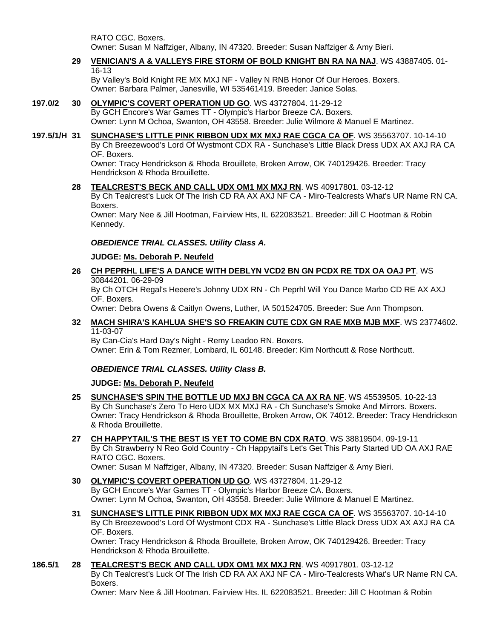RATO CGC. Boxers. Owner: Susan M Naffziger, Albany, IN 47320. Breeder: Susan Naffziger & Amy Bieri.

## **29 [VENICIAN'S A & VALLEYS FIRE STORM OF BOLD KNIGHT BN RA NA NAJ](http://infodog.com/my/drlookup2.htm?makc=WS%2043887405&mdog=Venician%27s+A+&+Valleys+Fire+Storm+Of+Bold+Knight+BN+RA+NA+NAJ&wins=all)**. WS 43887405. 01- 16-13

By Valley's Bold Knight RE MX MXJ NF - Valley N RNB Honor Of Our Heroes. Boxers. Owner: Barbara Palmer, Janesville, WI 535461419. Breeder: Janice Solas.

## **197.0/2 30 [OLYMPIC'S COVERT OPERATION UD GO](http://infodog.com/my/drlookup2.htm?makc=WS%2043727804&mdog=Olympic%27s+Covert+Operation+UD+GO&wins=all)**. WS 43727804. 11-29-12

By GCH Encore's War Games TT - Olympic's Harbor Breeze CA. Boxers. Owner: Lynn M Ochoa, Swanton, OH 43558. Breeder: Julie Wilmore & Manuel E Martinez.

**197.5/1/H 31 [SUNCHASE'S LITTLE PINK RIBBON UDX MX MXJ RAE CGCA CA OF](http://infodog.com/my/drlookup2.htm?makc=WS%2035563707&mdog=Sunchase%27s+Little+Pink+Ribbon+UDX+MX+MXJ+RAE+CGCA+CA+OF&wins=all)**. WS 35563707. 10-14-10 By Ch Breezewood's Lord Of Wystmont CDX RA - Sunchase's Little Black Dress UDX AX AXJ RA CA OF. Boxers.

Owner: Tracy Hendrickson & Rhoda Brouillete, Broken Arrow, OK 740129426. Breeder: Tracy Hendrickson & Rhoda Brouillette.

**28 [TEALCREST'S BECK AND CALL UDX OM1 MX MXJ RN](http://infodog.com/my/drlookup2.htm?makc=WS%2040917801&mdog=Tealcrest%27s+Beck+And+Call+UDX+OM1+MX+MXJ+RN&wins=all)**. WS 40917801. 03-12-12 By Ch Tealcrest's Luck Of The Irish CD RA AX AXJ NF CA - Miro-Tealcrests What's UR Name RN CA. Boxers. Owner: Mary Nee & Jill Hootman, Fairview Hts, IL 622083521. Breeder: Jill C Hootman & Robin

Kennedy.

## *OBEDIENCE TRIAL CLASSES. Utility Class A.*

## **JUDGE: [Ms. Deborah P. Neufeld](http://infodog.com/show/judge/jdgprofile.htm?jn=19916)**

**26 [CH PEPRHL LIFE'S A DANCE WITH DEBLYN VCD2 BN GN PCDX RE TDX OA OAJ PT](http://infodog.com/my/drlookup2.htm?makc=WS%2030844201&mdog=Ch+Peprhl+Life%27s+A+Dance+With+DebLyn+VCD2+BN+GN+PCDX+RE+TDX+OA+OAJ+PT&wins=all)**. WS 30844201. 06-29-09

By Ch OTCH Regal's Heeere's Johnny UDX RN - Ch Peprhl Will You Dance Marbo CD RE AX AXJ OF. Boxers.

Owner: Debra Owens & Caitlyn Owens, Luther, IA 501524705. Breeder: Sue Ann Thompson.

## **32 [MACH SHIRA'S KAHLUA SHE'S SO FREAKIN CUTE CDX GN RAE MXB MJB MXF](http://infodog.com/my/drlookup2.htm?makc=WS%2023774602&mdog=MACH+Shira%27s+Kahlua+She%27s+So+Freakin+Cute+CDX+GN+RAE+MXB+MJB+MXF&wins=all)**. WS 23774602. 11-03-07

By Can-Cia's Hard Day's Night - Remy Leadoo RN. Boxers. Owner: Erin & Tom Rezmer, Lombard, IL 60148. Breeder: Kim Northcutt & Rose Northcutt.

# *OBEDIENCE TRIAL CLASSES. Utility Class B.*

#### **JUDGE: [Ms. Deborah P. Neufeld](http://infodog.com/show/judge/jdgprofile.htm?jn=19916)**

- **25 [SUNCHASE'S SPIN THE BOTTLE UD MXJ BN CGCA CA AX RA NF](http://infodog.com/my/drlookup2.htm?makc=WS%2045539505&mdog=Sunchase%27s+Spin+The+Bottle+UD+MXJ+BN+CGCA+CA+AX+RA+NF&wins=all)**. WS 45539505. 10-22-13 By Ch Sunchase's Zero To Hero UDX MX MXJ RA - Ch Sunchase's Smoke And Mirrors. Boxers. Owner: Tracy Hendrickson & Rhoda Brouillette, Broken Arrow, OK 74012. Breeder: Tracy Hendrickson & Rhoda Brouillette.
- **27 [CH HAPPYTAIL'S THE BEST IS YET TO COME BN CDX RATO](http://infodog.com/my/drlookup2.htm?makc=WS%2038819504&mdog=Ch+Happytail%27s+The+Best+Is+Yet+To+Come+BN+CDX+RATO&wins=all)**. WS 38819504. 09-19-11 By Ch Strawberry N Reo Gold Country - Ch Happytail's Let's Get This Party Started UD OA AXJ RAE RATO CGC. Boxers.

Owner: Susan M Naffziger, Albany, IN 47320. Breeder: Susan Naffziger & Amy Bieri.

- **30 [OLYMPIC'S COVERT OPERATION UD GO](http://infodog.com/my/drlookup2.htm?makc=WS%2043727804&mdog=Olympic%27s+Covert+Operation+UD+GO&wins=all)**. WS 43727804. 11-29-12 By GCH Encore's War Games TT - Olympic's Harbor Breeze CA. Boxers. Owner: Lynn M Ochoa, Swanton, OH 43558. Breeder: Julie Wilmore & Manuel E Martinez.
- **31 [SUNCHASE'S LITTLE PINK RIBBON UDX MX MXJ RAE CGCA CA OF](http://infodog.com/my/drlookup2.htm?makc=WS%2035563707&mdog=Sunchase%27s+Little+Pink+Ribbon+UDX+MX+MXJ+RAE+CGCA+CA+OF&wins=all)**. WS 35563707. 10-14-10 By Ch Breezewood's Lord Of Wystmont CDX RA - Sunchase's Little Black Dress UDX AX AXJ RA CA OF. Boxers.

Owner: Tracy Hendrickson & Rhoda Brouillete, Broken Arrow, OK 740129426. Breeder: Tracy Hendrickson & Rhoda Brouillette.

#### **186.5/1 28 [TEALCREST'S BECK AND CALL UDX OM1 MX MXJ RN](http://infodog.com/my/drlookup2.htm?makc=WS%2040917801&mdog=Tealcrest%27s+Beck+And+Call+UDX+OM1+MX+MXJ+RN&wins=all)**. WS 40917801. 03-12-12

By Ch Tealcrest's Luck Of The Irish CD RA AX AXJ NF CA - Miro-Tealcrests What's UR Name RN CA. Boxers.

Owner: Mary Nee & Jill Hootman, Fairview Hts, IL 622083521. Breeder: Jill C Hootman & Robin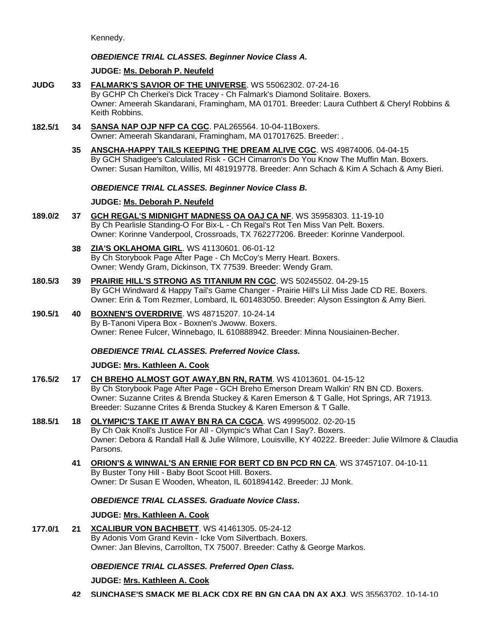Kennedy.

# *OBEDIENCE TRIAL CLASSES. Beginner Novice Class A.*

# **JUDGE: [Ms. Deborah P. Neufeld](http://infodog.com/show/judge/jdgprofile.htm?jn=19916)**

- **JUDG 33 [FALMARK'S SAVIOR OF THE UNIVERSE](http://infodog.com/my/drlookup2.htm?makc=WS%2055062302&mdog=Falmark%27s+Savior+Of+The+Universe&wins=all)**. WS 55062302. 07-24-16 By GCHP Ch Cherkei's Dick Tracey - Ch Falmark's Diamond Solitaire. Boxers. Owner: Ameerah Skandarani, Framingham, MA 01701. Breeder: Laura Cuthbert & Cheryl Robbins & Keith Robbins.
- **182.5/1 34 [SANSA NAP OJP NFP CA CGC](http://infodog.com/my/drlookup2.htm?makc=PAL265564&mdog=Sansa+NAP+OJP+NFP+CA+CGC&wins=all)**. PAL265564. 10-04-11Boxers. Owner: Ameerah Skandarani, Framingham, MA 017017625. Breeder: .
	- **35 [ANSCHA-HAPPY TAILS KEEPING THE DREAM ALIVE CGC](http://infodog.com/my/drlookup2.htm?makc=WS%2049874006&mdog=Anscha-Happy+Tails+Keeping+The+Dream+Alive+CGC&wins=all)**. WS 49874006. 04-04-15 By GCH Shadigee's Calculated Risk - GCH Cimarron's Do You Know The Muffin Man. Boxers. Owner: Susan Hamilton, Willis, MI 481919778. Breeder: Ann Schach & Kim A Schach & Amy Bieri.

## *OBEDIENCE TRIAL CLASSES. Beginner Novice Class B.*

# **JUDGE: [Ms. Deborah P. Neufeld](http://infodog.com/show/judge/jdgprofile.htm?jn=19916)**

- **189.0/2 37 [GCH REGAL'S MIDNIGHT MADNESS OA OAJ CA NF](http://infodog.com/my/drlookup2.htm?makc=WS%2035958303&mdog=GCH+Regal%27s+Midnight+Madness+OA+OAJ+CA+NF&wins=all)**. WS 35958303. 11-19-10 By Ch Pearlisle Standing-O For Bix-L - Ch Regal's Rot Ten Miss Van Pelt. Boxers. Owner: Korinne Vanderpool, Crossroads, TX 762277206. Breeder: Korinne Vanderpool.
	- **38 [ZIA'S OKLAHOMA GIRL](http://infodog.com/my/drlookup2.htm?makc=WS%2041130601&mdog=Zia%27s+Oklahoma+Girl&wins=all)**. WS 41130601. 06-01-12 By Ch Storybook Page After Page - Ch McCoy's Merry Heart. Boxers. Owner: Wendy Gram, Dickinson, TX 77539. Breeder: Wendy Gram.
- **180.5/3 39 [PRAIRIE HILL'S STRONG AS TITANIUM RN CGC](http://infodog.com/my/drlookup2.htm?makc=WS%2050245502&mdog=Prairie+Hill%27s+Strong+As+Titanium+RN+CGC&wins=all)**. WS 50245502. 04-29-15 By GCH Windward & Happy Tail's Game Changer - Prairie Hill's Lil Miss Jade CD RE. Boxers. Owner: Erin & Tom Rezmer, Lombard, IL 601483050. Breeder: Alyson Essington & Amy Bieri.
- **190.5/1 40 [BOXNEN'S OVERDRIVE](http://infodog.com/my/drlookup2.htm?makc=WS%2048715207&mdog=Boxnen%27s+Overdrive&wins=all)**. WS 48715207. 10-24-14 By B-Tanoni Vipera Box - Boxnen's Jwoww. Boxers. Owner: Renee Fulcer, Winnebago, IL 610888942. Breeder: Minna Nousiainen-Becher.

## *OBEDIENCE TRIAL CLASSES. Preferred Novice Class.*

# **JUDGE: [Mrs. Kathleen A. Cook](http://infodog.com/show/judge/jdgprofile.htm?jn=37193)**

- **176.5/2 17 [CH BREHO ALMOST GOT AWAY,BN RN, RATM](http://infodog.com/my/drlookup2.htm?makc=WS%2041013601&mdog=Ch+Breho+Almost+Got+Away,BN+RN,+RatM&wins=all)**. WS 41013601. 04-15-12 By Ch Storybook Page After Page - GCH Breho Emerson Dream Walkin' RN BN CD. Boxers. Owner: Suzanne Crites & Brenda Stuckey & Karen Emerson & T Galle, Hot Springs, AR 71913. Breeder: Suzanne Crites & Brenda Stuckey & Karen Emerson & T Galle.
- **188.5/1 18 [OLYMPIC'S TAKE IT AWAY BN RA CA CGCA](http://infodog.com/my/drlookup2.htm?makc=WS%2049995002&mdog=Olympic%27s+Take+It+Away+BN+RA+CA+CGCA&wins=all)**. WS 49995002. 02-20-15

By Ch Oak Knoll's Justice For All - Olympic's What Can I Say?. Boxers. Owner: Debora & Randall Hall & Julie Wilmore, Louisville, KY 40222. Breeder: Julie Wilmore & Claudia Parsons.

**41 [ORION'S & WINWAL'S AN ERNIE FOR BERT CD BN PCD RN CA](http://infodog.com/my/drlookup2.htm?makc=WS%2037457107&mdog=Orion%27s+&+Winwal%27s+An+Ernie+For+Bert+CD+BN+PCD+RN+CA&wins=all)**. WS 37457107. 04-10-11 By Buster Tony Hill - Baby Boot Scoot Hill. Boxers. Owner: Dr Susan E Wooden, Wheaton, IL 601894142. Breeder: JJ Monk.

## *OBEDIENCE TRIAL CLASSES. Graduate Novice Class.*

## **JUDGE: [Mrs. Kathleen A. Cook](http://infodog.com/show/judge/jdgprofile.htm?jn=37193)**

**177.0/1 21 [XCALIBUR VON BACHBETT](http://infodog.com/my/drlookup2.htm?makc=WS%2041461305&mdog=Xcalibur+Von+Bachbett&wins=all)**. WS 41461305. 05-24-12 By Adonis Vom Grand Kevin - Icke Vom Silvertbach. Boxers. Owner: Jan Blevins, Carrollton, TX 75007. Breeder: Cathy & George Markos.

## *OBEDIENCE TRIAL CLASSES. Preferred Open Class.*

## **JUDGE: [Mrs. Kathleen A. Cook](http://infodog.com/show/judge/jdgprofile.htm?jn=37193)**

**42 [SUNCHASE'S SMACK ME BLACK CDX RE BN GN CAA DN AX AXJ](http://infodog.com/my/drlookup2.htm?makc=WS%2035563702&mdog=Sunchase%27s+Smack+Me+Black+CDX+RE+BN+GN+CAA+DN+AX+AXJ&wins=all)**. WS 35563702. 10-14-10